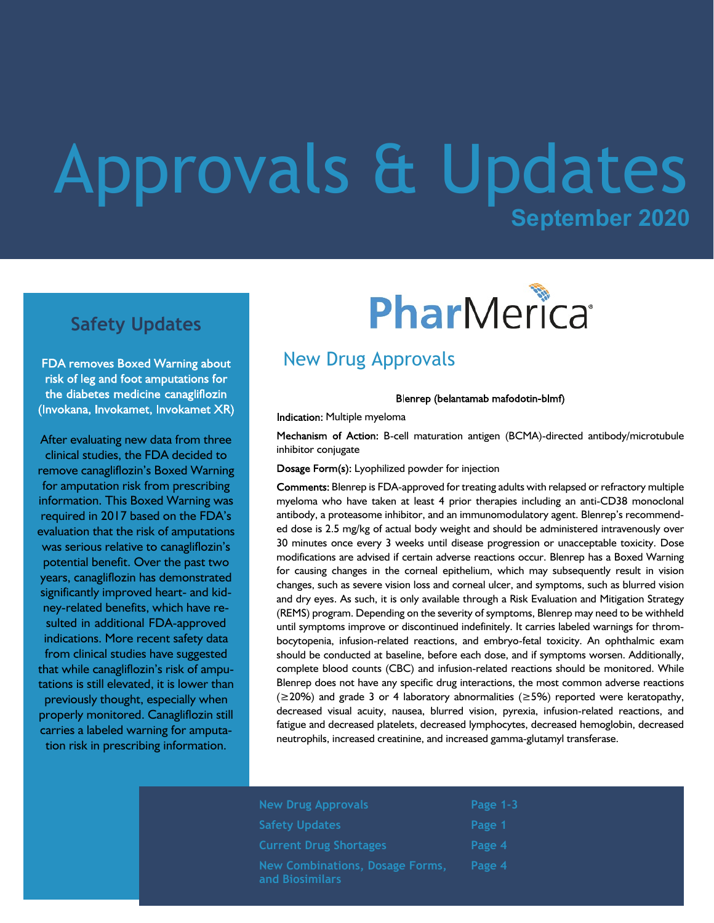## **September 2020** Approvals & Updates

### **Safety Updates**

FDA removes Boxed Warning about risk of leg and foot amputations for the diabetes medicine canagliflozin (Invokana, Invokamet, Invokamet XR)

After evaluating new data from three clinical studies, the FDA decided to remove canagliflozin's Boxed Warning for amputation risk from prescribing information. This Boxed Warning was required in 2017 based on the FDA's evaluation that the risk of amputations was serious relative to canagliflozin's potential benefit. Over the past two years, canagliflozin has demonstrated significantly improved heart- and kidney-related benefits, which have resulted in additional FDA-approved indications. More recent safety data from clinical studies have suggested that while canagliflozin's risk of amputations is still elevated, it is lower than previously thought, especially when properly monitored. Canagliflozin still carries a labeled warning for amputation risk in prescribing information.

# PharMerica®

## New Drug Approvals

Blenrep (belantamab mafodotin-blmf)

Indication: Multiple myeloma

Mechanism of Action: B-cell maturation antigen (BCMA)-directed antibody/microtubule inhibitor conjugate

Dosage Form(s): Lyophilized powder for injection

Comments: Blenrep is FDA-approved for treating adults with relapsed or refractory multiple myeloma who have taken at least 4 prior therapies including an anti-CD38 monoclonal antibody, a proteasome inhibitor, and an immunomodulatory agent. Blenrep's recommended dose is 2.5 mg/kg of actual body weight and should be administered intravenously over 30 minutes once every 3 weeks until disease progression or unacceptable toxicity. Dose modifications are advised if certain adverse reactions occur. Blenrep has a Boxed Warning for causing changes in the corneal epithelium, which may subsequently result in vision changes, such as severe vision loss and corneal ulcer, and symptoms, such as blurred vision and dry eyes. As such, it is only available through a Risk Evaluation and Mitigation Strategy (REMS) program. Depending on the severity of symptoms, Blenrep may need to be withheld until symptoms improve or discontinued indefinitely. It carries labeled warnings for thrombocytopenia, infusion-related reactions, and embryo-fetal toxicity. An ophthalmic exam should be conducted at baseline, before each dose, and if symptoms worsen. Additionally, complete blood counts (CBC) and infusion-related reactions should be monitored. While Blenrep does not have any specific drug interactions, the most common adverse reactions  $(\geq 20\%)$  and grade 3 or 4 laboratory abnormalities ( $\geq 5\%$ ) reported were keratopathy, decreased visual acuity, nausea, blurred vision, pyrexia, infusion-related reactions, and fatigue and decreased platelets, decreased lymphocytes, decreased hemoglobin, decreased neutrophils, increased creatinine, and increased gamma-glutamyl transferase.

| <b>New Drug Approvals</b>                          | Page 1-3 |
|----------------------------------------------------|----------|
| <b>Safety Updates</b>                              | Page 1   |
| <b>Current Drug Shortages</b>                      | Page 4   |
| New Combinations, Dosage Forms,<br>and Biosimilars | Page 4   |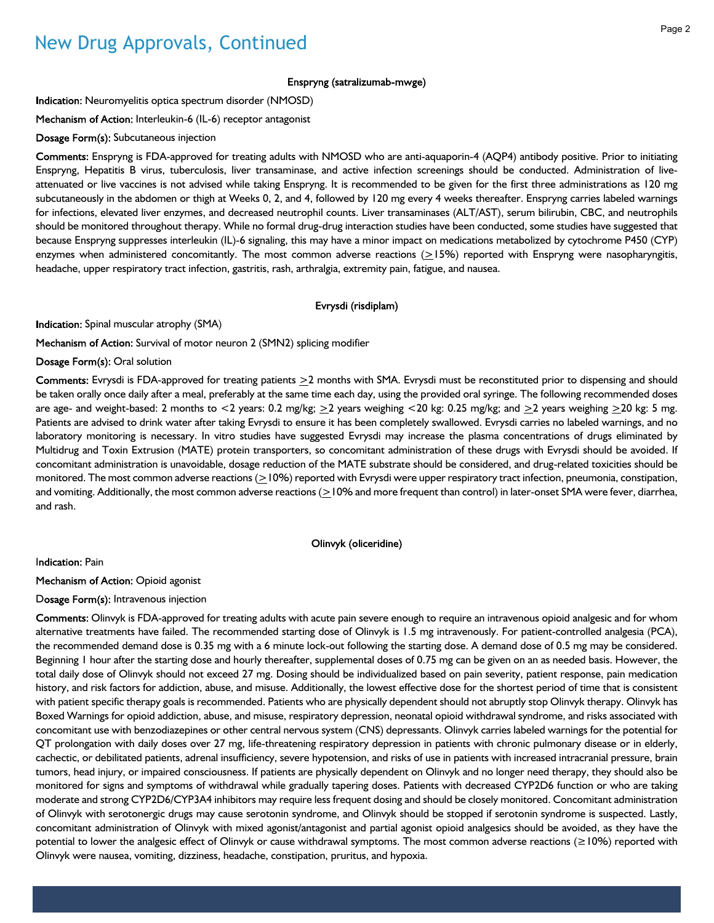## New Drug Approvals, Continued

#### Enspryng (satralizumab-mwge)

Indication: Neuromyelitis optica spectrum disorder (NMOSD)

Mechanism of Action: Interleukin-6 (IL-6) receptor antagonist

Dosage Form(s): Subcutaneous injection

Enspryng is FDA-approved for treating adults with NMOSD who are anti-aquaporin-4 (AQP4) antibody positive. Prior to initiating Enspryng, Hepatitis B virus, tuberculosis, liver transaminase, and active infection screenings should be conducted. Administration of liveattenuated or live vaccines is not advised while taking Enspryng. It is recommended to be given for the first three administrations as 120 mg subcutaneously in the abdomen or thigh at Weeks 0, 2, and 4, followed by 120 mg every 4 weeks thereafter. Enspryng carries labeled warnings for infections, elevated liver enzymes, and decreased neutrophil counts. Liver transaminases (ALT/AST), serum bilirubin, CBC, and neutrophils should be monitored throughout therapy. While no formal drug-drug interaction studies have been conducted, some studies have suggested that because Enspryng suppresses interleukin (IL)-6 signaling, this may have a minor impact on medications metabolized by cytochrome P450 (CYP) enzymes when administered concomitantly. The most common adverse reactions  $(>15%)$  reported with Enspryng were nasopharyngitis, headache, upper respiratory tract infection, gastritis, rash, arthralgia, extremity pain, fatigue, and nausea.

#### Evrysdi (risdiplam)

Indication: Spinal muscular atrophy (SMA)

Mechanism of Action: Survival of motor neuron 2 (SMN2) splicing modifier

#### Dosage Form(s): Oral solution

Comments: Evrysdi is FDA-approved for treating patients  $\geq 2$  months with SMA. Evrysdi must be reconstituted prior to dispensing and should be taken orally once daily after a meal, preferably at the same time each day, using the provided oral syringe. The following recommended doses are age- and weight-based: 2 months to <2 years: 0.2 mg/kg;  $\geq$ 2 years weighing <20 kg: 0.25 mg/kg; and  $\geq$ 2 years weighing  $\geq$ 20 kg: 5 mg. Patients are advised to drink water after taking Evrysdi to ensure it has been completely swallowed. Evrysdi carries no labeled warnings, and no laboratory monitoring is necessary. In vitro studies have suggested Evrysdi may increase the plasma concentrations of drugs eliminated by Multidrug and Toxin Extrusion (MATE) protein transporters, so concomitant administration of these drugs with Evrysdi should be avoided. If concomitant administration is unavoidable, dosage reduction of the MATE substrate should be considered, and drug-related toxicities should be monitored. The most common adverse reactions  $(>=10%)$  reported with Evrysdi were upper respiratory tract infection, pneumonia, constipation, and vomiting. Additionally, the most common adverse reactions (>10% and more frequent than control) in later-onset SMA were fever, diarrhea, and rash.

#### Olinvyk (oliceridine)

Indication: Pain

Mechanism of Action: Opioid agonist

#### Dosage Form(s): Intravenous injection

Comments: Olinvyk is FDA-approved for treating adults with acute pain severe enough to require an intravenous opioid analgesic and for whom alternative treatments have failed. The recommended starting dose of Olinvyk is 1.5 mg intravenously. For patient-controlled analgesia (PCA), the recommended demand dose is 0.35 mg with a 6 minute lock-out following the starting dose. A demand dose of 0.5 mg may be considered. Beginning 1 hour after the starting dose and hourly thereafter, supplemental doses of 0.75 mg can be given on an as needed basis. However, the total daily dose of Olinvyk should not exceed 27 mg. Dosing should be individualized based on pain severity, patient response, pain medication history, and risk factors for addiction, abuse, and misuse. Additionally, the lowest effective dose for the shortest period of time that is consistent with patient specific therapy goals is recommended. Patients who are physically dependent should not abruptly stop Olinvyk therapy. Olinvyk has Boxed Warnings for opioid addiction, abuse, and misuse, respiratory depression, neonatal opioid withdrawal syndrome, and risks associated with concomitant use with benzodiazepines or other central nervous system (CNS) depressants. Olinvyk carries labeled warnings for the potential for QT prolongation with daily doses over 27 mg, life-threatening respiratory depression in patients with chronic pulmonary disease or in elderly, cachectic, or debilitated patients, adrenal insufficiency, severe hypotension, and risks of use in patients with increased intracranial pressure, brain tumors, head injury, or impaired consciousness. If patients are physically dependent on Olinvyk and no longer need therapy, they should also be monitored for signs and symptoms of withdrawal while gradually tapering doses. Patients with decreased CYP2D6 function or who are taking moderate and strong CYP2D6/CYP3A4 inhibitors may require less frequent dosing and should be closely monitored. Concomitant administration of Olinvyk with serotonergic drugs may cause serotonin syndrome, and Olinvyk should be stopped if serotonin syndrome is suspected. Lastly, concomitant administration of Olinvyk with mixed agonist/antagonist and partial agonist opioid analgesics should be avoided, as they have the potential to lower the analgesic effect of Olinvyk or cause withdrawal symptoms. The most common adverse reactions (≥10%) reported with Olinvyk were nausea, vomiting, dizziness, headache, constipation, pruritus, and hypoxia.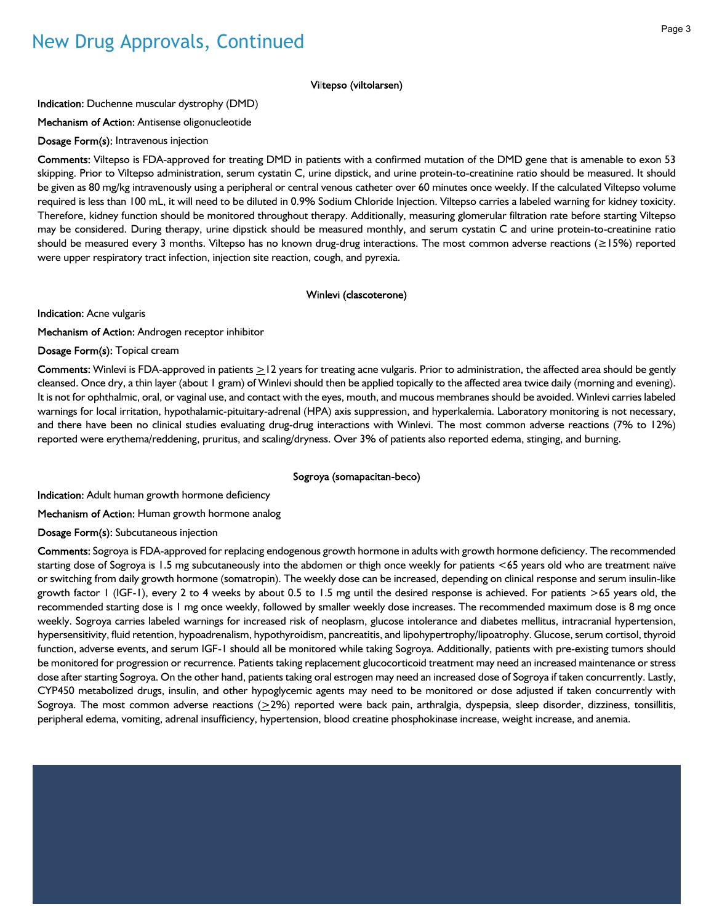## New Drug Approvals, Continued

#### Viltepso (viltolarsen)

Indication: Duchenne muscular dystrophy (DMD)

Mechanism of Action: Antisense oligonucleotide

Dosage Form(s): Intravenous injection

Comments: Viltepso is FDA-approved for treating DMD in patients with a confirmed mutation of the DMD gene that is amenable to exon 53 skipping. Prior to Viltepso administration, serum cystatin C, urine dipstick, and urine protein-to-creatinine ratio should be measured. It should be given as 80 mg/kg intravenously using a peripheral or central venous catheter over 60 minutes once weekly. If the calculated Viltepso volume required is less than 100 mL, it will need to be diluted in 0.9% Sodium Chloride Injection. Viltepso carries a labeled warning for kidney toxicity. Therefore, kidney function should be monitored throughout therapy. Additionally, measuring glomerular filtration rate before starting Viltepso may be considered. During therapy, urine dipstick should be measured monthly, and serum cystatin C and urine protein-to-creatinine ratio should be measured every 3 months. Viltepso has no known drug-drug interactions. The most common adverse reactions (≥15%) reported were upper respiratory tract infection, injection site reaction, cough, and pyrexia.

#### Winlevi (clascoterone)

Indication: Acne vulgaris

Mechanism of Action: Androgen receptor inhibitor

Dosage Form(s): Topical cream

Comments: Winlevi is FDA-approved in patients  $\geq$ 12 years for treating acne vulgaris. Prior to administration, the affected area should be gently cleansed. Once dry, a thin layer (about 1 gram) of Winlevi should then be applied topically to the affected area twice daily (morning and evening). It is not for ophthalmic, oral, or vaginal use, and contact with the eyes, mouth, and mucous membranes should be avoided. Winlevi carries labeled warnings for local irritation, hypothalamic-pituitary-adrenal (HPA) axis suppression, and hyperkalemia. Laboratory monitoring is not necessary, and there have been no clinical studies evaluating drug-drug interactions with Winlevi. The most common adverse reactions (7% to 12%) reported were erythema/reddening, pruritus, and scaling/dryness. Over 3% of patients also reported edema, stinging, and burning.

#### Sogroya (somapacitan-beco)

Indication: Adult human growth hormone deficiency

Mechanism of Action: Human growth hormone analog

Dosage Form(s): Subcutaneous injection

Comments: Sogroya is FDA-approved for replacing endogenous growth hormone in adults with growth hormone deficiency. The recommended starting dose of Sogroya is 1.5 mg subcutaneously into the abdomen or thigh once weekly for patients <65 years old who are treatment naïve or switching from daily growth hormone (somatropin). The weekly dose can be increased, depending on clinical response and serum insulin-like growth factor 1 (IGF-1), every 2 to 4 weeks by about 0.5 to 1.5 mg until the desired response is achieved. For patients >65 years old, the recommended starting dose is 1 mg once weekly, followed by smaller weekly dose increases. The recommended maximum dose is 8 mg once weekly. Sogroya carries labeled warnings for increased risk of neoplasm, glucose intolerance and diabetes mellitus, intracranial hypertension, hypersensitivity, fluid retention, hypoadrenalism, hypothyroidism, pancreatitis, and lipohypertrophy/lipoatrophy. Glucose, serum cortisol, thyroid function, adverse events, and serum IGF-1 should all be monitored while taking Sogroya. Additionally, patients with pre-existing tumors should be monitored for progression or recurrence. Patients taking replacement glucocorticoid treatment may need an increased maintenance or stress dose after starting Sogroya. On the other hand, patients taking oral estrogen may need an increased dose of Sogroya if taken concurrently. Lastly, CYP450 metabolized drugs, insulin, and other hypoglycemic agents may need to be monitored or dose adjusted if taken concurrently with Sogroya. The most common adverse reactions  $(≥2%)$  reported were back pain, arthralgia, dyspepsia, sleep disorder, dizziness, tonsillitis, peripheral edema, vomiting, adrenal insufficiency, hypertension, blood creatine phosphokinase increase, weight increase, and anemia.